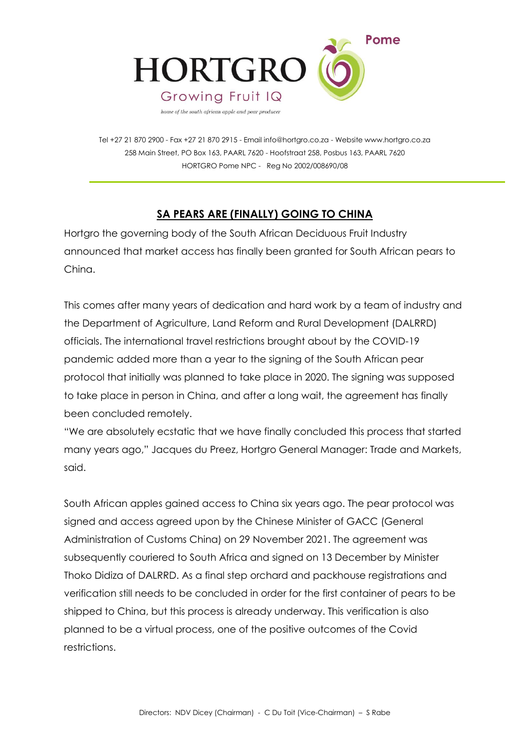

Tel +27 21 870 2900 - Fax +27 21 870 2915 - Emai[l info@hortgro.co.za](mailto:info@hortgro.co.za) - Website www.hortgro.co.za 258 Main Street, PO Box 163, PAARL 7620 - Hoofstraat 258, Posbus 163, PAARL 7620 HORTGRO Pome NPC - Reg No 2002/008690/08

## **SA PEARS ARE (FINALLY) GOING TO CHINA**

Hortgro the governing body of the South African Deciduous Fruit Industry announced that market access has finally been granted for South African pears to China.

This comes after many years of dedication and hard work by a team of industry and the Department of Agriculture, Land Reform and Rural Development (DALRRD) officials. The international travel restrictions brought about by the COVID-19 pandemic added more than a year to the signing of the South African pear protocol that initially was planned to take place in 2020. The signing was supposed to take place in person in China, and after a long wait, the agreement has finally been concluded remotely.

"We are absolutely ecstatic that we have finally concluded this process that started many years ago," Jacques du Preez, Hortgro General Manager: Trade and Markets, said.

South African apples gained access to China six years ago. The pear protocol was signed and access agreed upon by the Chinese Minister of GACC (General Administration of Customs China) on 29 November 2021. The agreement was subsequently couriered to South Africa and signed on 13 December by Minister Thoko Didiza of DALRRD. As a final step orchard and packhouse registrations and verification still needs to be concluded in order for the first container of pears to be shipped to China, but this process is already underway. This verification is also planned to be a virtual process, one of the positive outcomes of the Covid restrictions.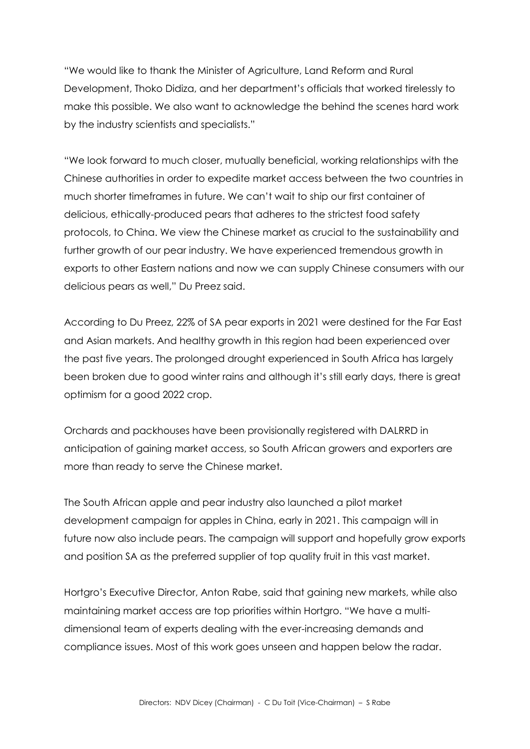"We would like to thank the Minister of Agriculture, Land Reform and Rural Development, Thoko Didiza, and her department's officials that worked tirelessly to make this possible. We also want to acknowledge the behind the scenes hard work by the industry scientists and specialists."

"We look forward to much closer, mutually beneficial, working relationships with the Chinese authorities in order to expedite market access between the two countries in much shorter timeframes in future. We can't wait to ship our first container of delicious, ethically-produced pears that adheres to the strictest food safety protocols, to China. We view the Chinese market as crucial to the sustainability and further growth of our pear industry. We have experienced tremendous growth in exports to other Eastern nations and now we can supply Chinese consumers with our delicious pears as well," Du Preez said.

According to Du Preez, 22% of SA pear exports in 2021 were destined for the Far East and Asian markets. And healthy growth in this region had been experienced over the past five years. The prolonged drought experienced in South Africa has largely been broken due to good winter rains and although it's still early days, there is great optimism for a good 2022 crop.

Orchards and packhouses have been provisionally registered with DALRRD in anticipation of gaining market access, so South African growers and exporters are more than ready to serve the Chinese market.

The South African apple and pear industry also launched a pilot market development campaign for apples in China, early in 2021. This campaign will in future now also include pears. The campaign will support and hopefully grow exports and position SA as the preferred supplier of top quality fruit in this vast market.

Hortgro's Executive Director, Anton Rabe, said that gaining new markets, while also maintaining market access are top priorities within Hortgro. "We have a multidimensional team of experts dealing with the ever-increasing demands and compliance issues. Most of this work goes unseen and happen below the radar.